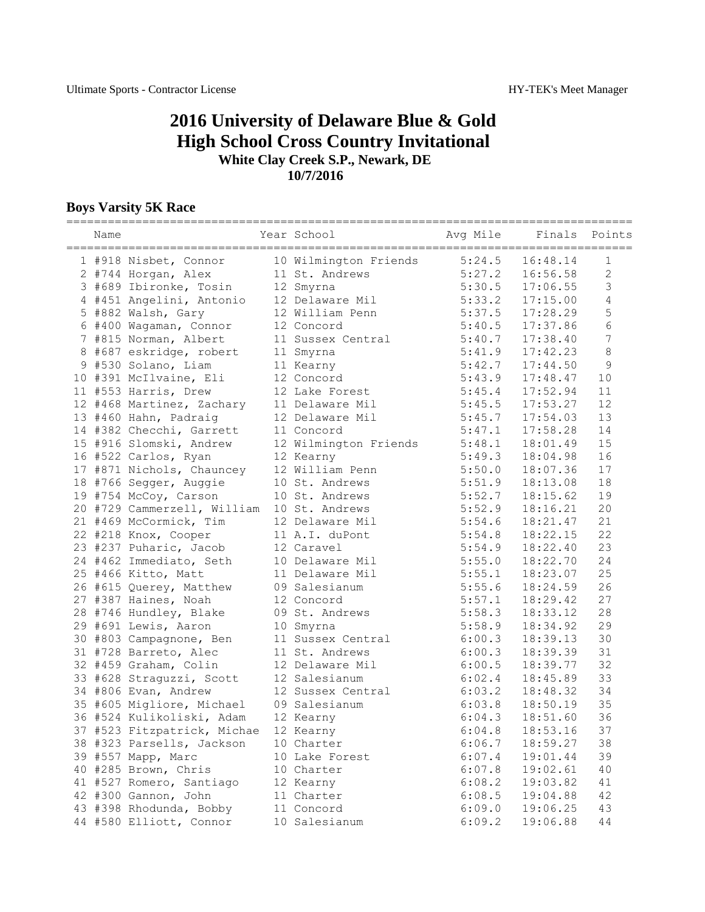## **2016 University of Delaware Blue & Gold High School Cross Country Invitational White Clay Creek S.P., Newark, DE 10/7/2016**

## **Boys Varsity 5K Race**

| Name |                                            | Year School           | Avg Mile | Finals Points |                |
|------|--------------------------------------------|-----------------------|----------|---------------|----------------|
|      | 1 #918 Nisbet, Connor                      | 10 Wilmington Friends | 5:24.5   | 16:48.14      | 1              |
|      | 2 #744 Horgan, Alex                        | 11 St. Andrews        | 5:27.2   | 16:56.58      | $\overline{2}$ |
|      | 3 #689 Ibironke, Tosin                     | 12 Smyrna             | 5:30.5   | 17:06.55      | $\mathfrak{Z}$ |
|      | 4 #451 Angelini, Antonio 12 Delaware Mil   |                       | 5:33.2   | 17:15.00      | $\sqrt{4}$     |
|      | 5 #882 Walsh, Gary                         | 12 William Penn       | 5:37.5   | 17:28.29      | 5              |
|      | 6 #400 Wagaman, Connor                     | 12 Concord            | 5:40.5   | 17:37.86      | $\sqrt{6}$     |
|      | 7 #815 Norman, Albert                      | 11 Sussex Central     | 5:40.7   | 17:38.40      | $\overline{7}$ |
|      | 8 #687 eskridge, robert                    | 11 Smyrna             | 5:41.9   | 17:42.23      | 8              |
|      | 9 #530 Solano, Liam                        | 11 Kearny             | 5:42.7   | 17:44.50      | 9              |
|      | 10 #391 McIlvaine, Eli                     | 12 Concord            | 5:43.9   | 17:48.47      | 10             |
|      | 11 #553 Harris, Drew                       | 12 Lake Forest        | 5:45.4   | 17:52.94      | 11             |
|      | 12 #468 Martinez, Zachary 11 Delaware Mil  |                       | 5:45.5   | 17:53.27      | 12             |
|      | 13 #460 Hahn, Padraig                      | 12 Delaware Mil       | 5:45.7   | 17:54.03      | 13             |
|      | 14 #382 Checchi, Garrett                   | 11 Concord            | 5:47.1   | 17:58.28      | 14             |
|      | 15 #916 Slomski, Andrew                    | 12 Wilmington Friends | 5:48.1   | 18:01.49      | 15             |
|      | 16 #522 Carlos, Ryan                       | 12 Kearny             | 5:49.3   | 18:04.98      | 16             |
|      | 17 #871 Nichols, Chauncey                  | 12 William Penn       | 5:50.0   | 18:07.36      | 17             |
|      | 18 #766 Segger, Auggie                     | 10 St. Andrews        | 5:51.9   | 18:13.08      | 18             |
|      | 19 #754 McCoy, Carson                      | 10 St. Andrews        | 5:52.7   | 18:15.62      | 19             |
|      | 20 #729 Cammerzell, William 10 St. Andrews |                       | 5:52.9   | 18:16.21      | 20             |
|      | 21 #469 McCormick, Tim                     | 12 Delaware Mil       | 5:54.6   | 18:21.47      | 21             |
|      | 22 #218 Knox, Cooper                       | 11 A.I. duPont        | 5:54.8   | 18:22.15      | 22             |
|      | 23 #237 Puharic, Jacob                     | 12 Caravel            | 5:54.9   | 18:22.40      | 23             |
|      | 24 #462 Immediato, Seth                    | 10 Delaware Mil       | 5:55.0   | 18:22.70      | 24             |
|      | 25 #466 Kitto, Matt                        | 11 Delaware Mil       | 5:55.1   | 18:23.07      | 25             |
|      | 26 #615 Querey, Matthew                    | 09 Salesianum         | 5:55.6   | 18:24.59      | 26             |
|      | 27 #387 Haines, Noah                       | 12 Concord            | 5:57.1   | 18:29.42      | 27             |
|      | 28 #746 Hundley, Blake                     | 09 St. Andrews        | 5:58.3   | 18:33.12      | 28             |
|      | 29 #691 Lewis, Aaron                       | 10 Smyrna             | 5:58.9   | 18:34.92      | 29             |
|      | 30 #803 Campagnone, Ben                    | 11 Sussex Central     | 6:00.3   | 18:39.13      | 30             |
|      | 31 #728 Barreto, Alec                      | 11 St. Andrews        | 6:00.3   | 18:39.39      | 31             |
|      | 32 #459 Graham, Colin                      | 12 Delaware Mil       | 6:00.5   | 18:39.77      | 32             |
|      | 33 #628 Straguzzi, Scott                   | 12 Salesianum         | 6:02.4   | 18:45.89      | 33             |
|      | 34 #806 Evan, Andrew                       | 12 Sussex Central     | 6:03.2   | 18:48.32      | 34             |
|      | 35 #605 Migliore, Michael                  | 09 Salesianum         | 6:03.8   | 18:50.19      | 35             |
|      | 36 #524 Kulikoliski, Adam                  | 12 Kearny             | 6:04.3   | 18:51.60      | 36             |
|      | 37 #523 Fitzpatrick, Michae                | 12 Kearny             | 6:04.8   | 18:53.16      | 37             |
|      | 38 #323 Parsells, Jackson                  | 10 Charter            | 6:06.7   | 18:59.27      | 38             |
|      | 39 #557 Mapp, Marc                         | 10 Lake Forest        | 6:07.4   | 19:01.44      | 39             |
|      | 40 #285 Brown, Chris                       | 10 Charter            | 6:07.8   | 19:02.61      | 40             |
|      | 41 #527 Romero, Santiago                   | 12 Kearny             | 6:08.2   | 19:03.82      | 41             |
|      | 42 #300 Gannon, John                       | 11 Charter            | 6:08.5   | 19:04.88      | 42             |
|      | 43 #398 Rhodunda, Bobby                    | 11 Concord            | 6:09.0   | 19:06.25      | 43             |
|      | 44 #580 Elliott, Connor                    | 10 Salesianum         | 6:09.2   | 19:06.88      | 44             |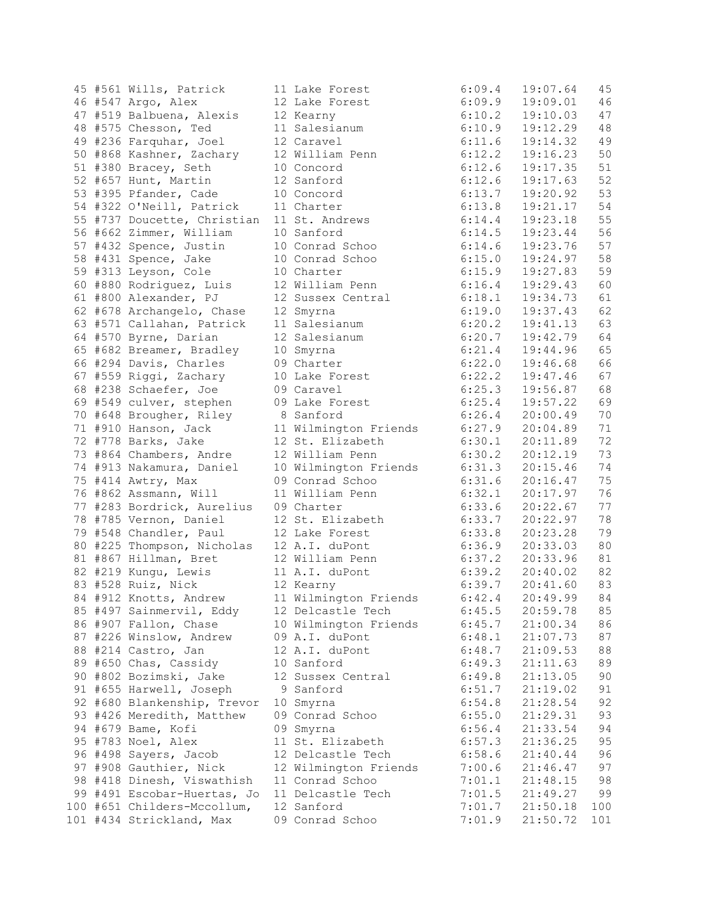| 45 |         | #561 Wills, Patrick         |    | 11 Lake Forest                  |
|----|---------|-----------------------------|----|---------------------------------|
|    |         | 46 #547 Argo, Alex          |    | 12 Lake Forest                  |
|    |         | 47 #519 Balbuena, Alexis    |    | 12 Kearny                       |
|    |         | 48 #575 Chesson, Ted        |    | 11 Salesianum                   |
|    |         | 49 #236 Farquhar, Joel      |    | 12 Caravel                      |
|    |         | 50 #868 Kashner, Zachary    |    | 12 William Pen                  |
|    |         | 51 #380 Bracey, Seth        |    | 10 Concord                      |
|    |         | 52 #657 Hunt, Martin        |    | 12 Sanford                      |
|    |         | 53 #395 Pfander, Cade       |    | 10 Concord                      |
|    |         | 54 #322 O'Neill, Patrick    |    | 11 Charter                      |
|    |         | 55 #737 Doucette, Christian |    | 11 St. Andrews                  |
|    |         | 56 #662 Zimmer, William     |    | 10 Sanford                      |
|    |         | 57 #432 Spence, Justin      |    | 10 Conrad Scho                  |
|    |         |                             |    | 10 Conrad Scho                  |
|    |         | 58 #431 Spence, Jake        |    |                                 |
|    |         | 59 #313 Leyson, Cole        |    | 10 Charter                      |
|    |         | 60 #880 Rodriguez, Luis     |    | 12 William Pen                  |
|    |         | 61 #800 Alexander, PJ       |    | 12 Sussex Cent                  |
|    |         | 62 #678 Archangelo, Chase   |    | 12 Smyrna                       |
|    |         | 63 #571 Callahan, Patrick   |    | 11 Salesianum                   |
|    |         | 64 #570 Byrne, Darian       |    | 12 Salesianum                   |
|    |         | 65 #682 Breamer, Bradley    |    | 10 Smyrna                       |
|    |         | 66 #294 Davis, Charles      |    | 09 Charter                      |
|    |         | 67 #559 Riggi, Zachary      |    | 10 Lake Forest                  |
| 68 |         | #238 Schaefer, Joe          |    | 09 Caravel                      |
|    |         | 69 #549 culver, stephen     |    | 09 Lake Forest                  |
|    |         | 70 #648 Brougher, Riley     |    | 8 Sanford                       |
|    |         | 71 #910 Hanson, Jack        |    | 11 Wilmington                   |
|    |         | 72 #778 Barks, Jake         |    | 12 St. Elizabe                  |
|    |         | 73 #864 Chambers, Andre     |    | 12 William Pen                  |
|    |         | 74 #913 Nakamura, Daniel    |    |                                 |
|    |         |                             |    | 10 Wilmington<br>09 Conrad Scho |
|    |         | 75 #414 Awtry, Max          |    |                                 |
|    |         | 76 #862 Assmann, Will       |    | 11 William Pen                  |
|    |         | 77 #283 Bordrick, Aurelius  |    | 09 Charter                      |
| 78 |         | #785 Vernon, Daniel         |    | 12 St. Elizabe                  |
|    |         | 79 #548 Chandler, Paul      |    | 12 Lake Forest                  |
|    |         | 80 #225 Thompson, Nicholas  |    | 12 A.I. duPont                  |
|    |         | 81 #867 Hillman, Bret       |    | 12 William Pen                  |
|    |         | 82 #219 Kungu, Lewis        |    | 11 A.I. duPont                  |
|    |         | 83 #528 Ruiz, Nick          |    | 12 Kearny                       |
| 84 |         | #912 Knotts, Andrew         |    | 11 Wilmington                   |
|    |         | 85 #497 Sainmervil, Eddy    |    | 12 Delcastle T                  |
|    |         | 86 #907 Fallon, Chase       |    | 10 Wilmington                   |
|    |         | 87 #226 Winslow, Andrew     | 09 | A.I. duPont                     |
| 88 | #214    | Castro, Jan                 |    | 12 A.I. duPont                  |
|    | 89 #650 | Chas, Cassidy               |    | 10 Sanford                      |
| 90 | #802    | Bozimski, Jake              |    | 12 Sussex Cent                  |
|    | 91 #655 | Harwell, Joseph             |    | 9 Sanford                       |
| 92 | #680    |                             |    | 10 Smyrna                       |
|    |         | Blankenship, Trevor         |    |                                 |
| 93 | #426    | Meredith, Matthew           |    | 09 Conrad Scho                  |
| 94 | #679    | Bame, Kofi                  |    | 09 Smyrna                       |
| 95 | #783    | Noel, Alex                  |    | 11 St. Elizabe                  |
| 96 | #498    | Sayers, Jacob               |    | 12 Delcastle T                  |
| 97 | #908    | Gauthier, Nick              |    | 12 Wilmington                   |
| 98 | #418    | Dinesh, Viswathish          |    | 11 Conrad Scho                  |
|    | 99 #491 | Escobar-Huertas, Jo         |    | 11 Delcastle T                  |
|    |         | 100 #651 Childers-Mccollum, |    | 12 Sanford                      |
|    |         | 101 #434 Strickland, Max    |    | 09 Conrad Scho                  |
|    |         |                             |    |                                 |

|  | 45 #561 Wills, Patrick      | 11 Lake Forest               | 6:09.4           | 19:07.64               | 45  |
|--|-----------------------------|------------------------------|------------------|------------------------|-----|
|  | 46 #547 Argo, Alex          | 12 Lake Forest               | 6:09.9           | 19:09.01               | 46  |
|  | 47 #519 Balbuena, Alexis    | 12 Kearny                    | 6:10.2           | 19:10.03               | 47  |
|  | 48 #575 Chesson, Ted        | 11 Salesianum                | 6:10.9           | 19:12.29               | 48  |
|  | 49 #236 Farquhar, Joel      | 12 Caravel                   | 6:11.6           | 19:14.32               | 49  |
|  | 50 #868 Kashner, Zachary    | 12 William Penn              | 6:12.2           | 19:16.23               | 50  |
|  | 51 #380 Bracey, Seth        | 10 Concord                   | 6:12.6           | 19:17.35               | 51  |
|  | 52 #657 Hunt, Martin        | 12 Sanford                   | 6:12.6           | 19:17.63               | 52  |
|  | 53 #395 Pfander, Cade       | 10 Concord                   | 6:13.7           | 19:20.92               | 53  |
|  | 54 #322 O'Neill, Patrick    | 11 Charter                   | 6:13.8           | 19:21.17               | 54  |
|  | 55 #737 Doucette, Christian | 11 St. Andrews               | 6:14.4           | 19:23.18               | 55  |
|  | 56 #662 Zimmer, William     | 10 Sanford                   | 6:14.5           | 19:23.44               | 56  |
|  | 57 #432 Spence, Justin      | 10 Conrad Schoo              | 6:14.6           | 19:23.76               | 57  |
|  | 58 #431 Spence, Jake        | 10 Conrad Schoo              | 6:15.0           | 19:24.97               | 58  |
|  | 59 #313 Leyson, Cole        | 10 Charter                   | 6:15.9           | 19:27.83               | 59  |
|  | 60 #880 Rodriguez, Luis     | 12 William Penn              | 6:16.4           | 19:29.43               | 60  |
|  | 61 #800 Alexander, PJ       | 12 Sussex Central            | 6:18.1           | 19:34.73               | 61  |
|  | 62 #678 Archangelo, Chase   |                              | 6:19.0           | 19:37.43               | 62  |
|  |                             | 12 Smyrna<br>11 Salesianum   | 6:20.2           | 19:41.13               | 63  |
|  | 63 #571 Callahan, Patrick   |                              |                  | 19:42.79               | 64  |
|  | 64 #570 Byrne, Darian       | 12 Salesianum                | 6:20.7<br>6:21.4 | 19:44.96               | 65  |
|  | 65 #682 Breamer, Bradley    | 10 Smyrna                    |                  | 19:46.68               | 66  |
|  | 66 #294 Davis, Charles      | 09 Charter                   | 6:22.0           |                        | 67  |
|  | 67 #559 Riggi, Zachary      | 10 Lake Forest<br>09 Caravel | 6:22.2           | 19:47.46               |     |
|  | 68 #238 Schaefer, Joe       |                              | 6:25.3           | 19:56.87<br>19:57.22   | 68  |
|  | 69 #549 culver, stephen     | 09 Lake Forest               | 6:25.4           |                        | 69  |
|  | 70 #648 Brougher, Riley     | 8 Sanford                    | 6:26.4           | 20:00.49               | 70  |
|  | 71 #910 Hanson, Jack        | 11 Wilmington Friends 6:27.9 |                  | 20:04.89               | 71  |
|  | 72 #778 Barks, Jake         | 12 St. Elizabeth             | 6:30.1           | 20:11.89               | 72  |
|  | 73 #864 Chambers, Andre     | 12 William Penn              | 6:30.2           | 20:12.19               | 73  |
|  | 74 #913 Nakamura, Daniel    | 10 Wilmington Friends        | 6:31.3           | 20:15.46               | 74  |
|  | 75 #414 Awtry, Max          | 09 Conrad Schoo              | 6:31.6           | 20:16.47               | 75  |
|  | 76 #862 Assmann, Will       | 11 William Penn              | 6:32.1           | 20:17.97               | 76  |
|  | 77 #283 Bordrick, Aurelius  | 09 Charter                   | 6:33.6           | 20:22.67               | 77  |
|  | 78 #785 Vernon, Daniel      | 12 St. Elizabeth             | 6:33.7           | 20:22.97               | 78  |
|  | 79 #548 Chandler, Paul      | 12 Lake Forest               | 6:33.8           | 20:23.28               | 79  |
|  | 80 #225 Thompson, Nicholas  | 12 A.I. duPont               | 6:36.9           | 20:33.03               | 80  |
|  | 81 #867 Hillman, Bret       | 12 William Penn              | 6:37.2           | 20:33.96               | 81  |
|  | 82 #219 Kungu, Lewis        | 11 A.I. duPont 6:39.2        |                  | 20:40.02               | 82  |
|  | 83 #528 Ruiz, Nick          | 12 Kearny                    | 6:39.7           | 20:41.60               | 83  |
|  | 84 #912 Knotts, Andrew      | 11 Wilmington Friends        |                  | $6:42.4$ $20:49.99$ 84 |     |
|  | 85 #497 Sainmervil, Eddy    | 12 Delcastle Tech            | 6:45.5           | 20:59.78               | 85  |
|  | 86 #907 Fallon, Chase       | 10 Wilmington Friends        | 6:45.7           | 21:00.34               | 86  |
|  | 87 #226 Winslow, Andrew     | 09 A.I. duPont               | 6:48.1           | 21:07.73               | 87  |
|  | 88 #214 Castro, Jan         | 12 A.I. duPont               | 6:48.7           | 21:09.53               | 88  |
|  | 89 #650 Chas, Cassidy       | 10 Sanford                   | 6:49.3           | 21:11.63               | 89  |
|  | 90 #802 Bozimski, Jake      | 12 Sussex Central            | 6:49.8           | 21:13.05               | 90  |
|  | 91 #655 Harwell, Joseph     | 9 Sanford                    | 6:51.7           | 21:19.02               | 91  |
|  | 92 #680 Blankenship, Trevor | 10 Smyrna                    | 6:54.8           | 21:28.54               | 92  |
|  | 93 #426 Meredith, Matthew   | 09 Conrad Schoo              | 6:55.0           | 21:29.31               | 93  |
|  | 94 #679 Bame, Kofi          | 09 Smyrna                    | 6:56.4           | 21:33.54               | 94  |
|  | 95 #783 Noel, Alex          | 11 St. Elizabeth             | 6:57.3           | 21:36.25               | 95  |
|  | 96 #498 Sayers, Jacob       | 12 Delcastle Tech            | 6:58.6           | 21:40.44               | 96  |
|  | 97 #908 Gauthier, Nick      | 12 Wilmington Friends        | 7:00.6           | 21:46.47               | 97  |
|  | 98 #418 Dinesh, Viswathish  | 11 Conrad Schoo              | 7:01.1           | 21:48.15               | 98  |
|  | 99 #491 Escobar-Huertas, Jo | 11 Delcastle Tech            | 7:01.5           | 21:49.27               | 99  |
|  | 100 #651 Childers-Mccollum, | 12 Sanford                   | 7:01.7           | 21:50.18               | 100 |
|  | 101 #434 Strickland, Max    | 09 Conrad Schoo              | 7:01.9           | 21:50.72               | 101 |
|  |                             |                              |                  |                        |     |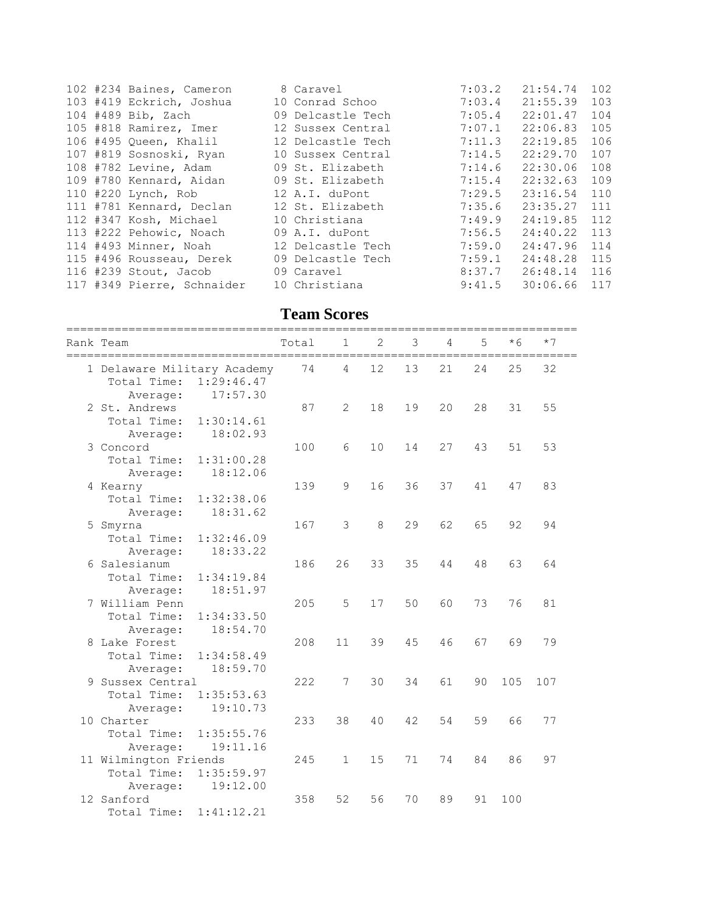|  | 102 #234 Baines, Cameron   | 8 Caravel         | 7:03.2 | 21:54.74     | 102 |
|--|----------------------------|-------------------|--------|--------------|-----|
|  | 103 #419 Eckrich, Joshua   | 10 Conrad Schoo   | 7:03.4 | 21:55.39     | 103 |
|  | 104 #489 Bib, Zach         | 09 Delcastle Tech | 7:05.4 | 22:01.47     | 104 |
|  | 105 #818 Ramirez, Imer     | 12 Sussex Central | 7:07.1 | 22:06.83     | 105 |
|  | 106 #495 Queen, Khalil     | 12 Delcastle Tech | 7:11.3 | 22:19.85     | 106 |
|  | 107 #819 Sosnoski, Ryan    | 10 Sussex Central | 7:14.5 | 22:29.70     | 107 |
|  | 108 #782 Levine, Adam      | 09 St. Elizabeth  | 7:14.6 | 22:30.06     | 108 |
|  | 109 #780 Kennard, Aidan    | 09 St. Elizabeth  | 7:15.4 | 22:32.63     | 109 |
|  | 110 #220 Lynch, Rob        | 12 A.I. duPont    | 7:29.5 | 23:16.54     | 110 |
|  | 111 #781 Kennard, Declan   | 12 St. Elizabeth  | 7:35.6 | 23:35.27     | 111 |
|  | 112 #347 Kosh, Michael     | 10 Christiana     | 7:49.9 | 24:19.85     | 112 |
|  | 113 #222 Pehowic, Noach    | 09 A.I. duPont    | 7:56.5 | 24:40.22     | 113 |
|  | 114 #493 Minner, Noah      | 12 Delcastle Tech | 7:59.0 | 24:47.96     | 114 |
|  | 115 #496 Rousseau, Derek   | 09 Delcastle Tech | 7:59.1 | 24:48.28     | 115 |
|  | 116 #239 Stout, Jacob      | 09 Caravel        | 8:37.7 | 26:48.14 116 |     |
|  | 117 #349 Pierre, Schnaider | 10 Christiana     | 9:41.5 | 30:06.66     | 117 |

## **Team Scores**

| Rank Team<br>=========================                                     | Total | 1              | $\overline{2}$ | 3  | 4  | 5  | $*6$ | $*7$ |  |
|----------------------------------------------------------------------------|-------|----------------|----------------|----|----|----|------|------|--|
| 1 Delaware Military Academy<br>1:29:46.47<br>Total Time:                   | 74    | $\overline{4}$ | 12             | 13 | 21 | 24 | 25   | 32   |  |
| 17:57.30<br>Average:<br>2 St. Andrews<br>Total Time:<br>1:30:14.61         | 87    | 2              | 18             | 19 | 20 | 28 | 31   | 55   |  |
| 18:02.93<br>Average:<br>3 Concord<br>Total Time:<br>1:31:00.28             | 100   | 6              | 10             | 14 | 27 | 43 | 51   | 53   |  |
| 18:12.06<br>Average:<br>4 Kearny<br>Total Time:<br>1:32:38.06              | 139   | 9              | 16             | 36 | 37 | 41 | 47   | 83   |  |
| 18:31.62<br>Average:<br>5 Smyrna<br>Total Time:<br>1:32:46.09              | 167   | 3              | 8              | 29 | 62 | 65 | 92   | 94   |  |
| 18:33.22<br>Average:<br>6 Salesianum<br>Total Time:<br>1:34:19.84          | 186   | 26             | 33             | 35 | 44 | 48 | 63   | 64   |  |
| 18:51.97<br>Average:<br>7 William Penn<br>Total Time:<br>1:34:33.50        | 205   | 5              | 17             | 50 | 60 | 73 | 76   | 81   |  |
| 18:54.70<br>Average:<br>8 Lake Forest<br>Total Time:<br>1:34:58.49         | 208   | 11             | 39             | 45 | 46 | 67 | 69   | 79   |  |
| 18:59.70<br>Average:<br>9 Sussex Central<br>Total Time:<br>1:35:53.63      | 222   | 7              | 30             | 34 | 61 | 90 | 105  | 107  |  |
| 19:10.73<br>Average:<br>10 Charter<br>Total Time:<br>1:35:55.76            | 233   | 38             | 40             | 42 | 54 | 59 | 66   | 77   |  |
| 19:11.16<br>Average:<br>11 Wilmington Friends<br>Total Time:<br>1:35:59.97 | 245   | $\mathbf{1}$   | 15             | 71 | 74 | 84 | 86   | 97   |  |
| 19:12.00<br>Average:<br>12 Sanford<br>Total Time:<br>1:41:12.21            | 358   | 52             | 56             | 70 | 89 | 91 | 100  |      |  |